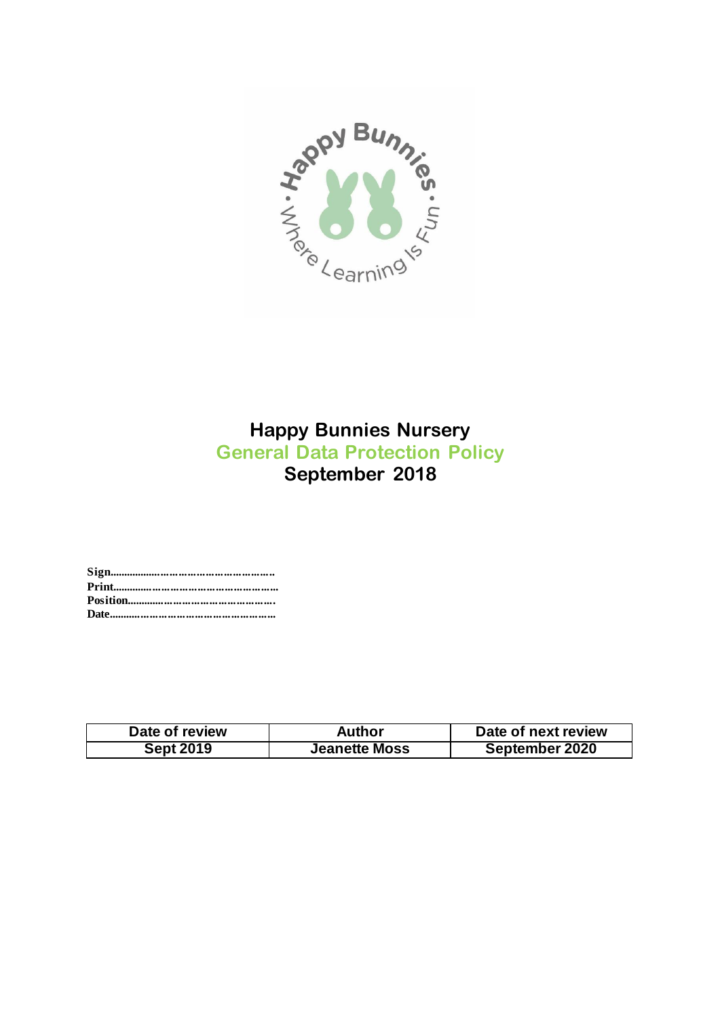

# **Happy Bunnies Nursery General Data Protection Policy September 2018**

**Sign........................................................ Print........................................................ Position.................................................. Date........................................................**

| Date of review   | Author               | Date of next review |
|------------------|----------------------|---------------------|
| <b>Sept 2019</b> | <b>Jeanette Moss</b> | September 2020      |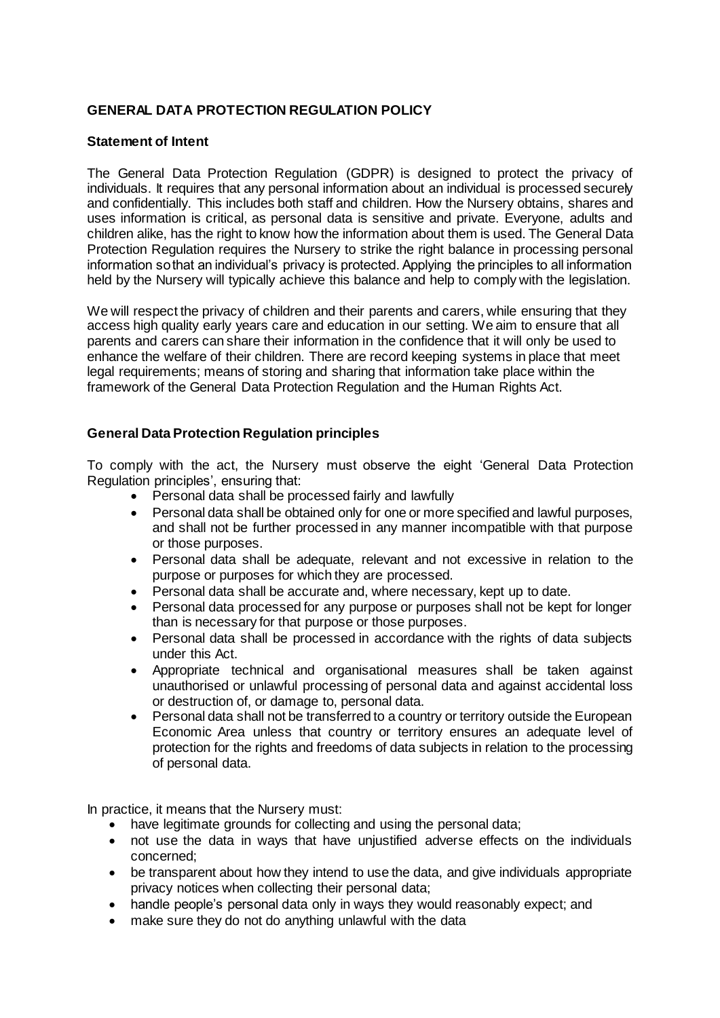## **GENERAL DATA PROTECTION REGULATION POLICY**

## **Statement of Intent**

The General Data Protection Regulation (GDPR) is designed to protect the privacy of individuals. It requires that any personal information about an individual is processed securely and confidentially. This includes both staff and children. How the Nursery obtains, shares and uses information is critical, as personal data is sensitive and private. Everyone, adults and children alike, has the right to know how the information about them is used. The General Data Protection Regulation requires the Nursery to strike the right balance in processing personal information so that an individual's privacy is protected. Applying the principles to all information held by the Nursery will typically achieve this balance and help to comply with the legislation.

We will respect the privacy of children and their parents and carers, while ensuring that they access high quality early years care and education in our setting. We aim to ensure that all parents and carers can share their information in the confidence that it will only be used to enhance the welfare of their children. There are record keeping systems in place that meet legal requirements; means of storing and sharing that information take place within the framework of the General Data Protection Regulation and the Human Rights Act.

## **General Data Protection Regulation principles**

To comply with the act, the Nursery must observe the eight 'General Data Protection Regulation principles', ensuring that:

- Personal data shall be processed fairly and lawfully
- Personal data shall be obtained only for one or more specified and lawful purposes, and shall not be further processed in any manner incompatible with that purpose or those purposes.
- Personal data shall be adequate, relevant and not excessive in relation to the purpose or purposes for which they are processed.
- Personal data shall be accurate and, where necessary, kept up to date.
- Personal data processed for any purpose or purposes shall not be kept for longer than is necessary for that purpose or those purposes.
- Personal data shall be processed in accordance with the rights of data subjects under this Act.
- Appropriate technical and organisational measures shall be taken against unauthorised or unlawful processing of personal data and against accidental loss or destruction of, or damage to, personal data.
- Personal data shall not be transferred to a country or territory outside the European Economic Area unless that country or territory ensures an adequate level of protection for the rights and freedoms of data subjects in relation to the processing of personal data.

In practice, it means that the Nursery must:

- have legitimate grounds for collecting and using the personal data;
- not use the data in ways that have unjustified adverse effects on the individuals concerned;
- be transparent about how they intend to use the data, and give individuals appropriate privacy notices when collecting their personal data;
- handle people's personal data only in ways they would reasonably expect; and
- make sure they do not do anything unlawful with the data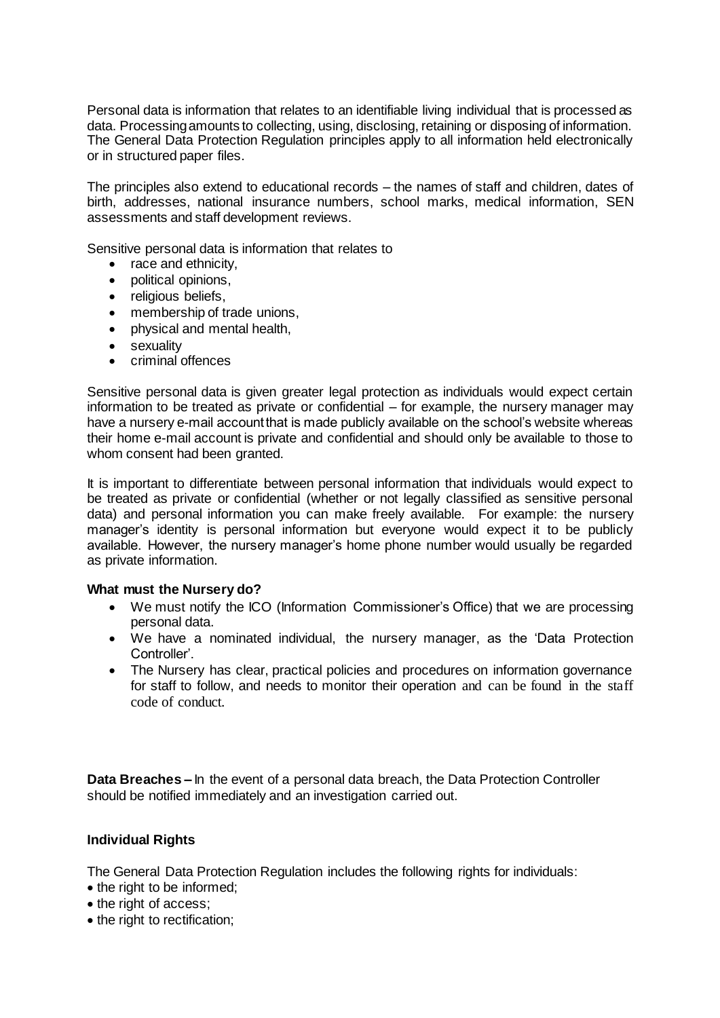Personal data is information that relates to an identifiable living individual that is processed as data. Processing amounts to collecting, using, disclosing, retaining or disposing of information. The General Data Protection Regulation principles apply to all information held electronically or in structured paper files.

The principles also extend to educational records – the names of staff and children, dates of birth, addresses, national insurance numbers, school marks, medical information, SEN assessments and staff development reviews.

Sensitive personal data is information that relates to

- race and ethnicity,
- political opinions,
- religious beliefs,
- membership of trade unions,
- physical and mental health,
- sexuality
- **criminal offences**

Sensitive personal data is given greater legal protection as individuals would expect certain information to be treated as private or confidential – for example, the nursery manager may have a nursery e-mail account that is made publicly available on the school's website whereas their home e-mail account is private and confidential and should only be available to those to whom consent had been granted.

It is important to differentiate between personal information that individuals would expect to be treated as private or confidential (whether or not legally classified as sensitive personal data) and personal information you can make freely available. For example: the nursery manager's identity is personal information but everyone would expect it to be publicly available. However, the nursery manager's home phone number would usually be regarded as private information.

## **What must the Nursery do?**

- We must notify the ICO (Information Commissioner's Office) that we are processing personal data.
- We have a nominated individual, the nursery manager, as the 'Data Protection Controller'.
- The Nursery has clear, practical policies and procedures on information governance for staff to follow, and needs to monitor their operation and can be found in the staff code of conduct.

**Data Breaches –** In the event of a personal data breach, the Data Protection Controller should be notified immediately and an investigation carried out.

## **Individual Rights**

The General Data Protection Regulation includes the following rights for individuals:

- the right to be informed;
- the right of access;
- the right to rectification: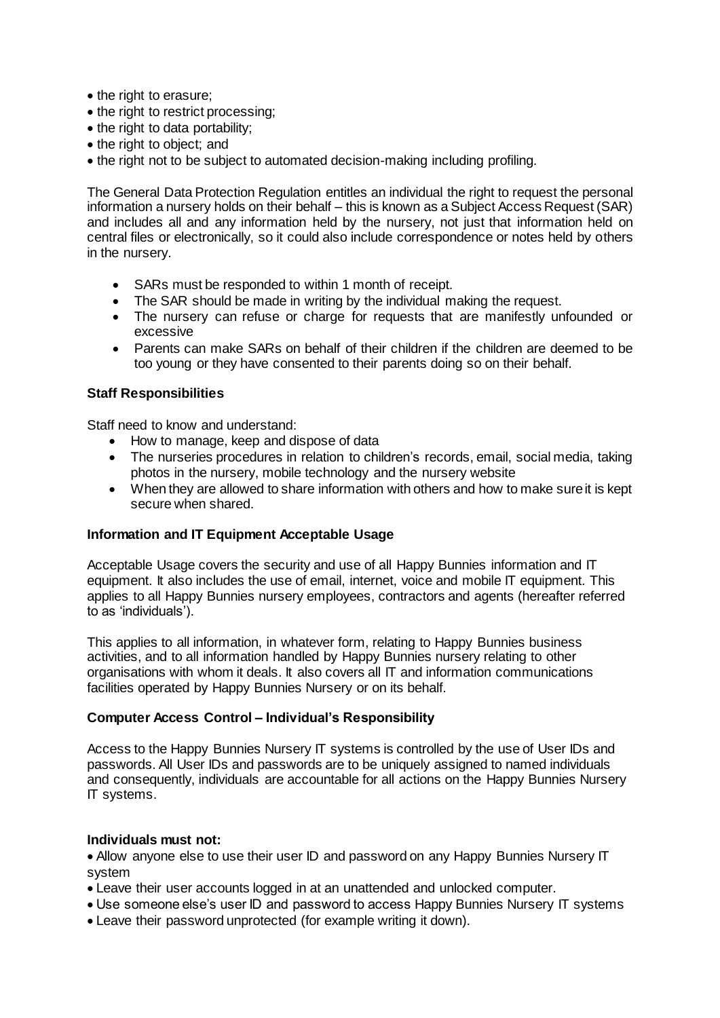- the right to erasure;
- the right to restrict processing;
- the right to data portability;
- the right to object; and
- the right not to be subject to automated decision-making including profiling.

The General Data Protection Regulation entitles an individual the right to request the personal information a nursery holds on their behalf – this is known as a Subject Access Request (SAR) and includes all and any information held by the nursery, not just that information held on central files or electronically, so it could also include correspondence or notes held by others in the nursery.

- SARs must be responded to within 1 month of receipt.
- The SAR should be made in writing by the individual making the request.
- The nursery can refuse or charge for requests that are manifestly unfounded or excessive
- Parents can make SARs on behalf of their children if the children are deemed to be too young or they have consented to their parents doing so on their behalf.

#### **Staff Responsibilities**

Staff need to know and understand:

- How to manage, keep and dispose of data
- The nurseries procedures in relation to children's records, email, social media, taking photos in the nursery, mobile technology and the nursery website
- When they are allowed to share information with others and how to make sure it is kept secure when shared.

## **Information and IT Equipment Acceptable Usage**

Acceptable Usage covers the security and use of all Happy Bunnies information and IT equipment. It also includes the use of email, internet, voice and mobile IT equipment. This applies to all Happy Bunnies nursery employees, contractors and agents (hereafter referred to as 'individuals').

This applies to all information, in whatever form, relating to Happy Bunnies business activities, and to all information handled by Happy Bunnies nursery relating to other organisations with whom it deals. It also covers all IT and information communications facilities operated by Happy Bunnies Nursery or on its behalf.

#### **Computer Access Control – Individual's Responsibility**

Access to the Happy Bunnies Nursery IT systems is controlled by the use of User IDs and passwords. All User IDs and passwords are to be uniquely assigned to named individuals and consequently, individuals are accountable for all actions on the Happy Bunnies Nursery IT systems.

#### **Individuals must not:**

 Allow anyone else to use their user ID and password on any Happy Bunnies Nursery IT system

- Leave their user accounts logged in at an unattended and unlocked computer.
- Use someone else's user ID and password to access Happy Bunnies Nursery IT systems
- Leave their password unprotected (for example writing it down).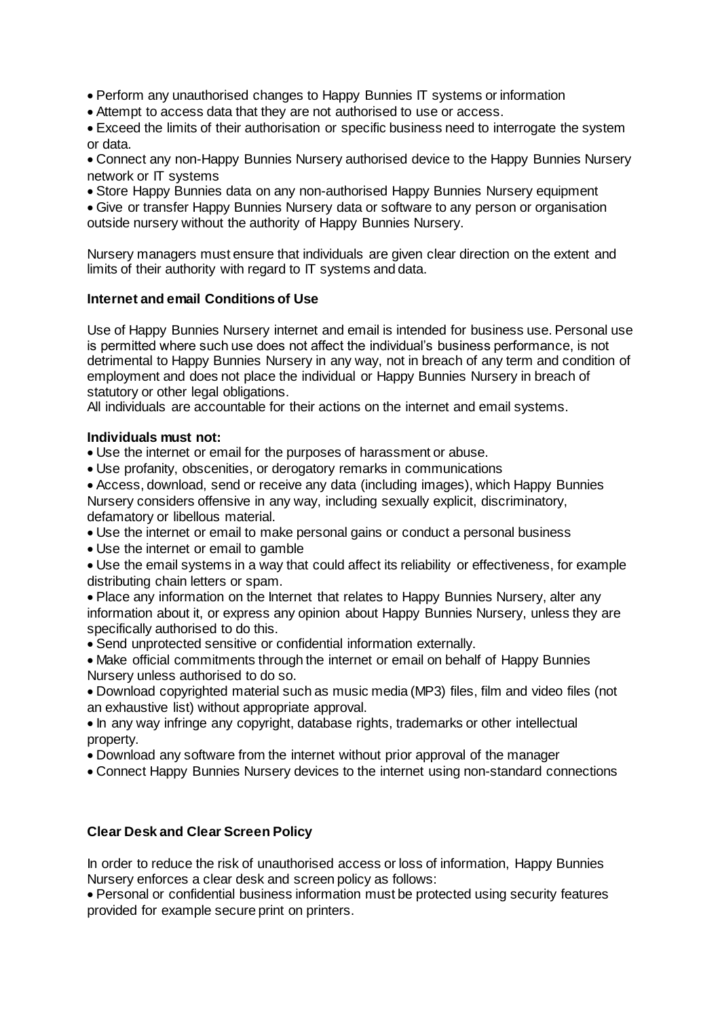Perform any unauthorised changes to Happy Bunnies IT systems or information

Attempt to access data that they are not authorised to use or access.

 Exceed the limits of their authorisation or specific business need to interrogate the system or data.

 Connect any non-Happy Bunnies Nursery authorised device to the Happy Bunnies Nursery network or IT systems

Store Happy Bunnies data on any non-authorised Happy Bunnies Nursery equipment

 Give or transfer Happy Bunnies Nursery data or software to any person or organisation outside nursery without the authority of Happy Bunnies Nursery.

Nursery managers must ensure that individuals are given clear direction on the extent and limits of their authority with regard to IT systems and data.

## **Internet and email Conditions of Use**

Use of Happy Bunnies Nursery internet and email is intended for business use. Personal use is permitted where such use does not affect the individual's business performance, is not detrimental to Happy Bunnies Nursery in any way, not in breach of any term and condition of employment and does not place the individual or Happy Bunnies Nursery in breach of statutory or other legal obligations.

All individuals are accountable for their actions on the internet and email systems.

## **Individuals must not:**

Use the internet or email for the purposes of harassment or abuse.

Use profanity, obscenities, or derogatory remarks in communications

 Access, download, send or receive any data (including images), which Happy Bunnies Nursery considers offensive in any way, including sexually explicit, discriminatory, defamatory or libellous material.

- Use the internet or email to make personal gains or conduct a personal business
- Use the internet or email to gamble

 Use the email systems in a way that could affect its reliability or effectiveness, for example distributing chain letters or spam.

 Place any information on the Internet that relates to Happy Bunnies Nursery, alter any information about it, or express any opinion about Happy Bunnies Nursery, unless they are specifically authorised to do this.

Send unprotected sensitive or confidential information externally.

 Make official commitments through the internet or email on behalf of Happy Bunnies Nursery unless authorised to do so.

 Download copyrighted material such as music media (MP3) files, film and video files (not an exhaustive list) without appropriate approval.

- In any way infringe any copyright, database rights, trademarks or other intellectual property.
- Download any software from the internet without prior approval of the manager
- Connect Happy Bunnies Nursery devices to the internet using non-standard connections

## **Clear Desk and Clear Screen Policy**

In order to reduce the risk of unauthorised access or loss of information, Happy Bunnies Nursery enforces a clear desk and screen policy as follows:

 Personal or confidential business information must be protected using security features provided for example secure print on printers.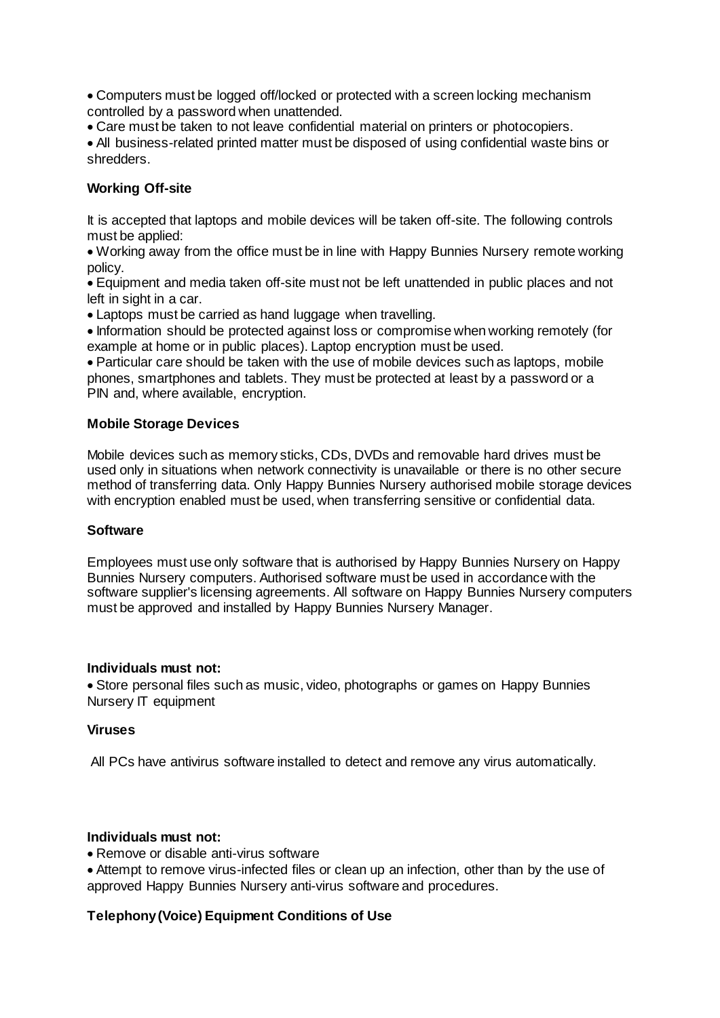Computers must be logged off/locked or protected with a screen locking mechanism controlled by a password when unattended.

Care must be taken to not leave confidential material on printers or photocopiers.

 All business-related printed matter must be disposed of using confidential waste bins or shredders.

## **Working Off-site**

It is accepted that laptops and mobile devices will be taken off-site. The following controls must be applied:

 Working away from the office must be in line with Happy Bunnies Nursery remote working policy.

 Equipment and media taken off-site must not be left unattended in public places and not left in sight in a car.

Laptops must be carried as hand luggage when travelling.

• Information should be protected against loss or compromise when working remotely (for example at home or in public places). Laptop encryption must be used.

 Particular care should be taken with the use of mobile devices such as laptops, mobile phones, smartphones and tablets. They must be protected at least by a password or a PIN and, where available, encryption.

## **Mobile Storage Devices**

Mobile devices such as memory sticks, CDs, DVDs and removable hard drives must be used only in situations when network connectivity is unavailable or there is no other secure method of transferring data. Only Happy Bunnies Nursery authorised mobile storage devices with encryption enabled must be used, when transferring sensitive or confidential data.

## **Software**

Employees must use only software that is authorised by Happy Bunnies Nursery on Happy Bunnies Nursery computers. Authorised software must be used in accordance with the software supplier's licensing agreements. All software on Happy Bunnies Nursery computers must be approved and installed by Happy Bunnies Nursery Manager.

#### **Individuals must not:**

 Store personal files such as music, video, photographs or games on Happy Bunnies Nursery IT equipment

## **Viruses**

All PCs have antivirus software installed to detect and remove any virus automatically.

## **Individuals must not:**

• Remove or disable anti-virus software

 Attempt to remove virus-infected files or clean up an infection, other than by the use of approved Happy Bunnies Nursery anti-virus software and procedures.

## **Telephony (Voice) Equipment Conditions of Use**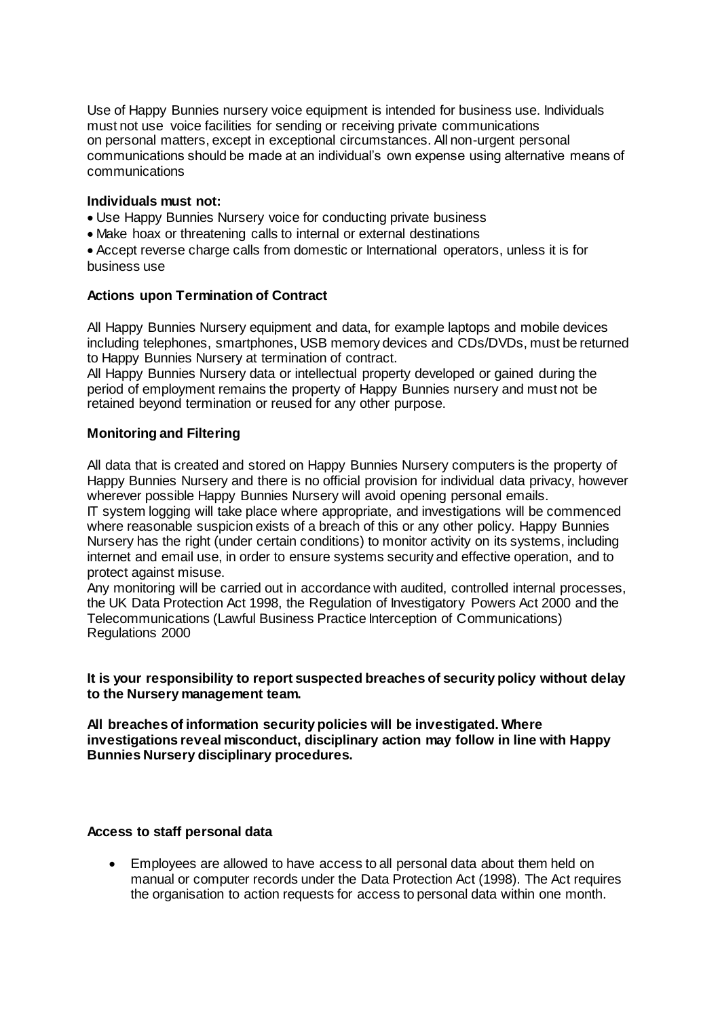Use of Happy Bunnies nursery voice equipment is intended for business use. Individuals must not use voice facilities for sending or receiving private communications on personal matters, except in exceptional circumstances. All non-urgent personal communications should be made at an individual's own expense using alternative means of communications

#### **Individuals must not:**

- Use Happy Bunnies Nursery voice for conducting private business
- Make hoax or threatening calls to internal or external destinations

 Accept reverse charge calls from domestic or International operators, unless it is for business use

#### **Actions upon Termination of Contract**

All Happy Bunnies Nursery equipment and data, for example laptops and mobile devices including telephones, smartphones, USB memory devices and CDs/DVDs, must be returned to Happy Bunnies Nursery at termination of contract.

All Happy Bunnies Nursery data or intellectual property developed or gained during the period of employment remains the property of Happy Bunnies nursery and must not be retained beyond termination or reused for any other purpose.

#### **Monitoring and Filtering**

All data that is created and stored on Happy Bunnies Nursery computers is the property of Happy Bunnies Nursery and there is no official provision for individual data privacy, however wherever possible Happy Bunnies Nursery will avoid opening personal emails.

IT system logging will take place where appropriate, and investigations will be commenced where reasonable suspicion exists of a breach of this or any other policy. Happy Bunnies Nursery has the right (under certain conditions) to monitor activity on its systems, including internet and email use, in order to ensure systems security and effective operation, and to protect against misuse.

Any monitoring will be carried out in accordance with audited, controlled internal processes, the UK Data Protection Act 1998, the Regulation of Investigatory Powers Act 2000 and the Telecommunications (Lawful Business Practice Interception of Communications) Regulations 2000

#### **It is your responsibility to report suspected breaches of security policy without delay to the Nursery management team.**

**All breaches of information security policies will be investigated. Where investigations reveal misconduct, disciplinary action may follow in line with Happy Bunnies Nursery disciplinary procedures.**

#### **Access to staff personal data**

 Employees are allowed to have access to all personal data about them held on manual or computer records under the Data Protection Act (1998). The Act requires the organisation to action requests for access to personal data within one month.